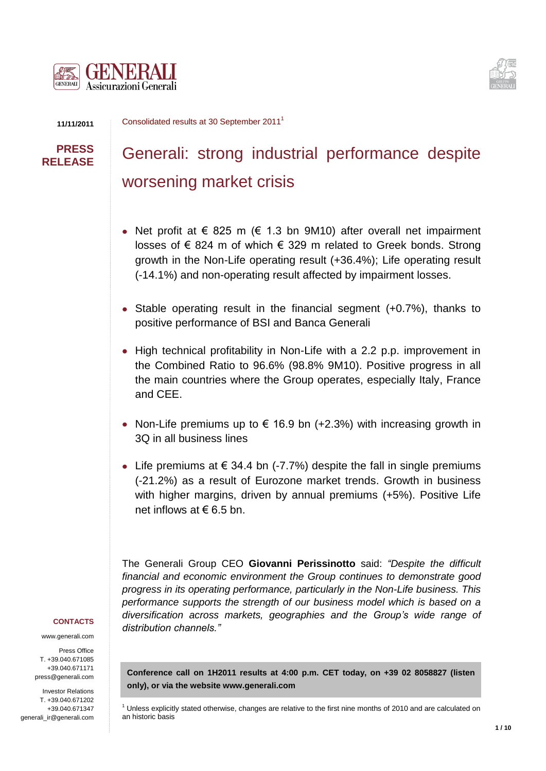



**11/11/2011**

Consolidated results at 30 September 2011<sup>1</sup>

## **PRESS RELEASE**

# Generali: strong industrial performance despite worsening market crisis

- Net profit at  $\epsilon$  825 m ( $\epsilon$  1.3 bn 9M10) after overall net impairment losses of € 824 m of which € 329 m related to Greek bonds. Strong growth in the Non-Life operating result (+36.4%); Life operating result (-14.1%) and non-operating result affected by impairment losses.
- Stable operating result in the financial segment (+0.7%), thanks to positive performance of BSI and Banca Generali
- High technical profitability in Non-Life with a 2.2 p.p. improvement in the Combined Ratio to 96.6% (98.8% 9M10). Positive progress in all the main countries where the Group operates, especially Italy, France and CEE.
- Non-Life premiums up to  $\epsilon$  16.9 bn (+2.3%) with increasing growth in 3Q in all business lines
- Life premiums at € 34.4 bn (-7.7%) despite the fall in single premiums (-21.2%) as a result of Eurozone market trends. Growth in business with higher margins, driven by annual premiums (+5%). Positive Life net inflows at  $\epsilon$  6.5 bn.

The Generali Group CEO **Giovanni Perissinotto** said: *"Despite the difficult financial and economic environment the Group continues to demonstrate good progress in its operating performance, particularly in the Non-Life business. This performance supports the strength of our business model which is based on a diversification across markets, geographies and the Group's wide range of distribution channels."* 

#### **CONTACTS**

www.generali.com

Press Office T. +39.040.671085 +39.040.671171 press@generali.com

Investor Relations T. +39.040.671202 +39.040.671347 generali\_ir@generali.com

**Conference call on 1H2011 results at 4:00 p.m. CET today, on +39 02 8058827 (listen only), or via the website [www.generali.com](http://www.generali.com/)**

 $<sup>1</sup>$  Unless explicitly stated otherwise, changes are relative to the first nine months of 2010 and are calculated on</sup> an historic basis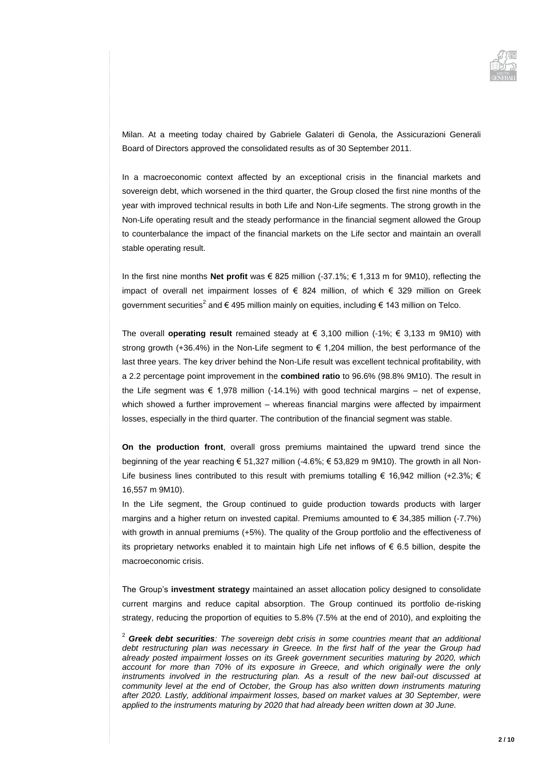

Milan. At a meeting today chaired by Gabriele Galateri di Genola, the Assicurazioni Generali Board of Directors approved the consolidated results as of 30 September 2011.

In a macroeconomic context affected by an exceptional crisis in the financial markets and sovereign debt, which worsened in the third quarter, the Group closed the first nine months of the year with improved technical results in both Life and Non-Life segments. The strong growth in the Non-Life operating result and the steady performance in the financial segment allowed the Group to counterbalance the impact of the financial markets on the Life sector and maintain an overall stable operating result.

In the first nine months **Net profit** was € 825 million (-37.1%; € 1,313 m for 9M10), reflecting the impact of overall net impairment losses of € 824 million, of which € 329 million on Greek government securities<sup>2</sup> and € 495 million mainly on equities, including € 143 million on Telco.

The overall **operating result** remained steady at  $\in$  3,100 million (-1%;  $\in$  3,133 m 9M10) with strong growth (+36.4%) in the Non-Life segment to  $\epsilon$  1,204 million, the best performance of the last three years. The key driver behind the Non-Life result was excellent technical profitability, with a 2.2 percentage point improvement in the **combined ratio** to 96.6% (98.8% 9M10). The result in the Life segment was  $\epsilon$  1,978 million (-14.1%) with good technical margins – net of expense, which showed a further improvement – whereas financial margins were affected by impairment losses, especially in the third quarter. The contribution of the financial segment was stable.

**On the production front**, overall gross premiums maintained the upward trend since the beginning of the year reaching € 51,327 million (-4.6%; € 53,829 m 9M10). The growth in all Non-Life business lines contributed to this result with premiums totalling € 16,942 million (+2.3%; € 16,557 m 9M10).

In the Life segment, the Group continued to guide production towards products with larger margins and a higher return on invested capital. Premiums amounted to € 34,385 million (-7.7%) with growth in annual premiums (+5%). The quality of the Group portfolio and the effectiveness of its proprietary networks enabled it to maintain high Life net inflows of € 6.5 billion, despite the macroeconomic crisis.

The Group's **investment strategy** maintained an asset allocation policy designed to consolidate current margins and reduce capital absorption. The Group continued its portfolio de-risking strategy, reducing the proportion of equities to 5.8% (7.5% at the end of 2010), and exploiting the

<sup>2</sup> *Greek debt securities: The sovereign debt crisis in some countries meant that an additional debt restructuring plan was necessary in Greece. In the first half of the year the Group had already posted impairment losses on its Greek government securities maturing by 2020, which account for more than 70% of its exposure in Greece, and which originally were the only*  instruments involved in the restructuring plan. As a result of the new bail-out discussed at *community level at the end of October, the Group has also written down instruments maturing after 2020. Lastly, additional impairment losses, based on market values at 30 September, were applied to the instruments maturing by 2020 that had already been written down at 30 June.*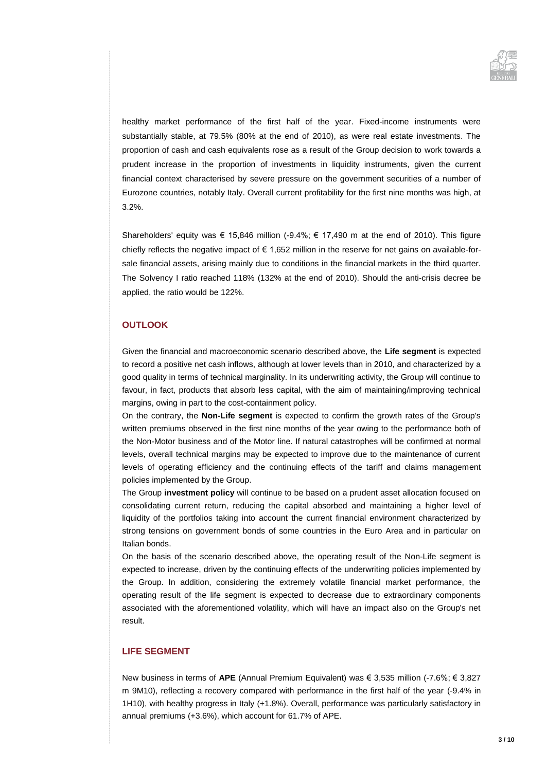

healthy market performance of the first half of the year. Fixed-income instruments were substantially stable, at 79.5% (80% at the end of 2010), as were real estate investments. The proportion of cash and cash equivalents rose as a result of the Group decision to work towards a prudent increase in the proportion of investments in liquidity instruments, given the current financial context characterised by severe pressure on the government securities of a number of Eurozone countries, notably Italy. Overall current profitability for the first nine months was high, at 3.2%.

Shareholders' equity was  $\epsilon$  15,846 million (-9.4%;  $\epsilon$  17,490 m at the end of 2010). This figure chiefly reflects the negative impact of  $\epsilon$  1,652 million in the reserve for net gains on available-forsale financial assets, arising mainly due to conditions in the financial markets in the third quarter. The Solvency I ratio reached 118% (132% at the end of 2010). Should the anti-crisis decree be applied, the ratio would be 122%.

#### **OUTLOOK**

Given the financial and macroeconomic scenario described above, the **Life segment** is expected to record a positive net cash inflows, although at lower levels than in 2010, and characterized by a good quality in terms of technical marginality. In its underwriting activity, the Group will continue to favour, in fact, products that absorb less capital, with the aim of maintaining/improving technical margins, owing in part to the cost-containment policy.

On the contrary, the **Non-Life segment** is expected to confirm the growth rates of the Group's written premiums observed in the first nine months of the year owing to the performance both of the Non-Motor business and of the Motor line. If natural catastrophes will be confirmed at normal levels, overall technical margins may be expected to improve due to the maintenance of current levels of operating efficiency and the continuing effects of the tariff and claims management policies implemented by the Group.

The Group **investment policy** will continue to be based on a prudent asset allocation focused on consolidating current return, reducing the capital absorbed and maintaining a higher level of liquidity of the portfolios taking into account the current financial environment characterized by strong tensions on government bonds of some countries in the Euro Area and in particular on Italian bonds.

On the basis of the scenario described above, the operating result of the Non-Life segment is expected to increase, driven by the continuing effects of the underwriting policies implemented by the Group. In addition, considering the extremely volatile financial market performance, the operating result of the life segment is expected to decrease due to extraordinary components associated with the aforementioned volatility, which will have an impact also on the Group's net result.

#### **LIFE SEGMENT**

New business in terms of **APE** (Annual Premium Equivalent) was € 3,535 million (-7.6%; € 3,827 m 9M10), reflecting a recovery compared with performance in the first half of the year (-9.4% in 1H10), with healthy progress in Italy (+1.8%). Overall, performance was particularly satisfactory in annual premiums (+3.6%), which account for 61.7% of APE.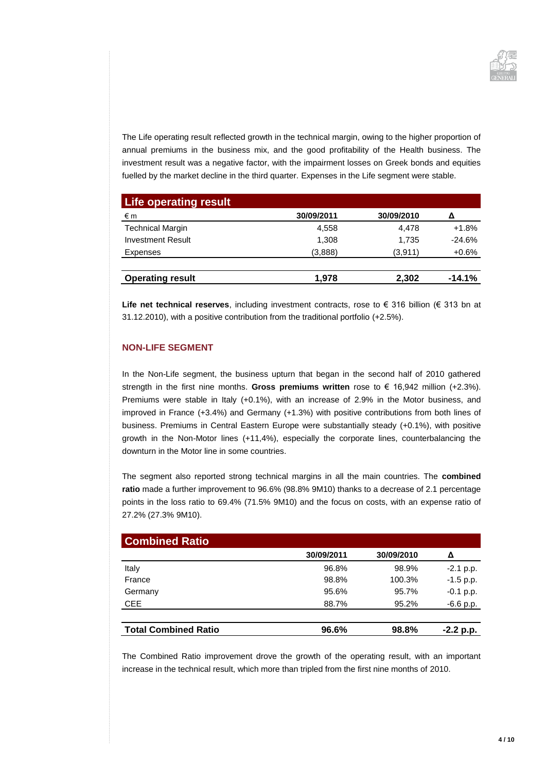

The Life operating result reflected growth in the technical margin, owing to the higher proportion of annual premiums in the business mix, and the good profitability of the Health business. The investment result was a negative factor, with the impairment losses on Greek bonds and equities fuelled by the market decline in the third quarter. Expenses in the Life segment were stable.

| <b>Life operating result</b> |            |            |          |
|------------------------------|------------|------------|----------|
| €m                           | 30/09/2011 | 30/09/2010 | Λ        |
| <b>Technical Margin</b>      | 4,558      | 4.478      | $+1.8%$  |
| <b>Investment Result</b>     | 1,308      | 1,735      | $-24.6%$ |
| Expenses                     | (3,888)    | (3,911)    | $+0.6%$  |
|                              |            |            |          |
| <b>Operating result</b>      | 1.978      | 2,302      | $-14.1%$ |

**Life net technical reserves**, including investment contracts, rose to € 316 billion (€ 313 bn at 31.12.2010), with a positive contribution from the traditional portfolio (+2.5%).

#### **NON-LIFE SEGMENT**

In the Non-Life segment, the business upturn that began in the second half of 2010 gathered strength in the first nine months. **Gross premiums written** rose to € 16,942 million (+2.3%). Premiums were stable in Italy (+0.1%), with an increase of 2.9% in the Motor business, and improved in France (+3.4%) and Germany (+1.3%) with positive contributions from both lines of business. Premiums in Central Eastern Europe were substantially steady (+0.1%), with positive growth in the Non-Motor lines (+11,4%), especially the corporate lines, counterbalancing the downturn in the Motor line in some countries.

The segment also reported strong technical margins in all the main countries. The **combined ratio** made a further improvement to 96.6% (98.8% 9M10) thanks to a decrease of 2.1 percentage points in the loss ratio to 69.4% (71.5% 9M10) and the focus on costs, with an expense ratio of 27.2% (27.3% 9M10).

| <b>Combined Ratio</b>       |            |            |                   |
|-----------------------------|------------|------------|-------------------|
|                             | 30/09/2011 | 30/09/2010 | Δ                 |
| Italy                       | 96.8%      | 98.9%      | $-2.1$ p.p.       |
| France                      | 98.8%      | 100.3%     | $-1.5$ p.p.       |
| Germany                     | 95.6%      | 95.7%      | $-0.1$ p.p.       |
| <b>CEE</b>                  | 88.7%      | 95.2%      | -6.6 p <u>.p.</u> |
|                             |            |            |                   |
| <b>Total Combined Ratio</b> | 96.6%      | 98.8%      | $-2.2 p.p.$       |

The Combined Ratio improvement drove the growth of the operating result, with an important increase in the technical result, which more than tripled from the first nine months of 2010.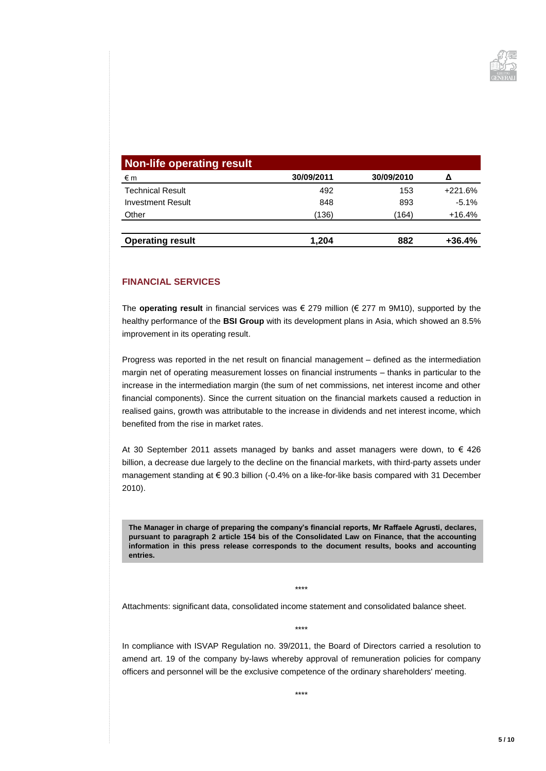

| Non-life operating result |            |            |           |
|---------------------------|------------|------------|-----------|
| €m                        | 30/09/2011 | 30/09/2010 | Δ         |
| <b>Technical Result</b>   | 492        | 153        | $+221.6%$ |
| <b>Investment Result</b>  | 848        | 893        | $-5.1%$   |
| Other                     | (136)      | (164)      | $+16.4%$  |
| <b>Operating result</b>   | 1,204      | 882        | $+36.4%$  |

#### **FINANCIAL SERVICES**

The **operating result** in financial services was € 279 million (€ 277 m 9M10), supported by the healthy performance of the **BSI Group** with its development plans in Asia, which showed an 8.5% improvement in its operating result.

Progress was reported in the net result on financial management – defined as the intermediation margin net of operating measurement losses on financial instruments – thanks in particular to the increase in the intermediation margin (the sum of net commissions, net interest income and other financial components). Since the current situation on the financial markets caused a reduction in realised gains, growth was attributable to the increase in dividends and net interest income, which benefited from the rise in market rates.

At 30 September 2011 assets managed by banks and asset managers were down, to  $\epsilon$  426 billion, a decrease due largely to the decline on the financial markets, with third-party assets under management standing at € 90.3 billion (-0.4% on a like-for-like basis compared with 31 December 2010).

**The Manager in charge of preparing the company's financial reports, Mr Raffaele Agrusti, declares, pursuant to paragraph 2 article 154 bis of the Consolidated Law on Finance, that the accounting information in this press release corresponds to the document results, books and accounting entries.**

\*\*\*\*

Attachments: significant data, consolidated income statement and consolidated balance sheet.

\*\*\*\*

In compliance with ISVAP Regulation no. 39/2011, the Board of Directors carried a resolution to amend art. 19 of the company by-laws whereby approval of remuneration policies for company officers and personnel will be the exclusive competence of the ordinary shareholders' meeting.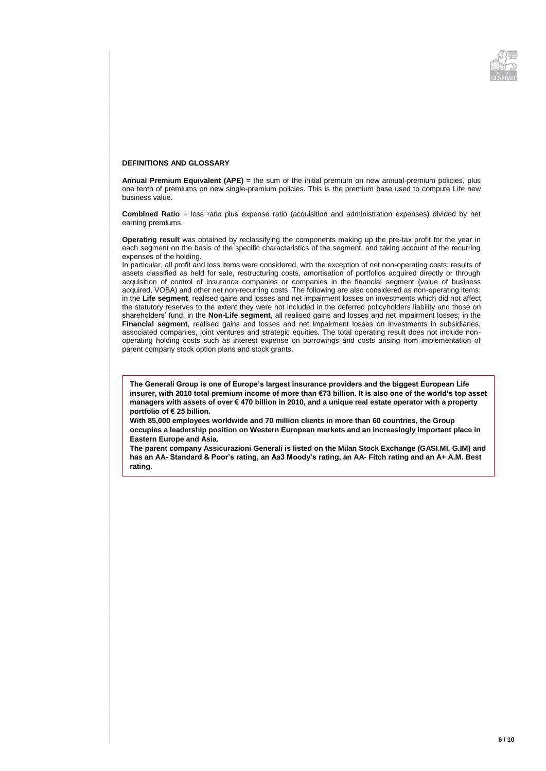

#### **DEFINITIONS AND GLOSSARY**

**Annual Premium Equivalent (APE)** = the sum of the initial premium on new annual-premium policies, plus one tenth of premiums on new single-premium policies. This is the premium base used to compute Life new business value.

**Combined Ratio** = loss ratio plus expense ratio (acquisition and administration expenses) divided by net earning premiums.

**Operating result** was obtained by reclassifying the components making up the pre-tax profit for the year in each segment on the basis of the specific characteristics of the segment, and taking account of the recurring expenses of the holding.

In particular, all profit and loss items were considered, with the exception of net non-operating costs: results of assets classified as held for sale, restructuring costs, amortisation of portfolios acquired directly or through acquisition of control of insurance companies or companies in the financial segment (value of business acquired, VOBA) and other net non-recurring costs. The following are also considered as non-operating items: in the **Life segment**, realised gains and losses and net impairment losses on investments which did not affect the statutory reserves to the extent they were not included in the deferred policyholders liability and those on shareholders' fund; in the **Non-Life segment**, all realised gains and losses and net impairment losses; in the **Financial segment**, realised gains and losses and net impairment losses on investments in subsidiaries, associated companies, joint ventures and strategic equities. The total operating result does not include nonoperating holding costs such as interest expense on borrowings and costs arising from implementation of parent company stock option plans and stock grants.

**The Generali Group is one of Europe's largest insurance providers and the biggest European Life insurer, with 2010 total premium income of more than €73 billion. It is also one of the world's top asset managers with assets of over € 470 billion in 2010, and a unique real estate operator with a property portfolio of € 25 billion.**

**With 85,000 employees worldwide and 70 million clients in more than 60 countries, the Group occupies a leadership position on Western European markets and an increasingly important place in Eastern Europe and Asia.**

**The parent company Assicurazioni Generali is listed on the Milan Stock Exchange (GASI.MI, G.IM) and has an AA- Standard & Poor's rating, an Aa3 Moody's rating, an AA- Fitch rating and an A+ A.M. Best rating.**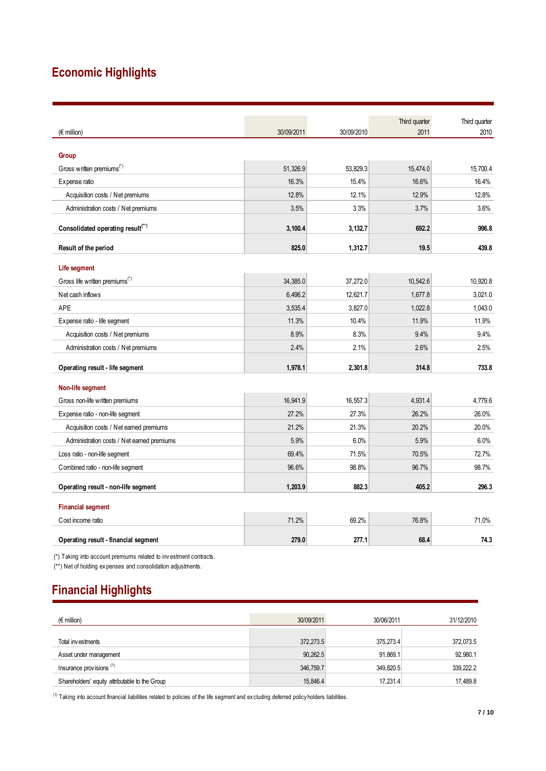# **Economic Highlights**

|                                                                                                                                  |            |            | Third quarter | Third quarter |
|----------------------------------------------------------------------------------------------------------------------------------|------------|------------|---------------|---------------|
| $(E \text{ million})$                                                                                                            | 30/09/2011 | 30/09/2010 | 2011          | 2010          |
|                                                                                                                                  |            |            |               |               |
| Group                                                                                                                            |            |            |               |               |
| Gross written premiums <sup>(*)</sup>                                                                                            | 51,326.9   | 53,829.3   | 15,474.0      | 15.700.4      |
| Expense ratio                                                                                                                    | 16.3%      | 15.4%      | 16.6%         | 16.4%         |
| Acquisition costs / Net premiums                                                                                                 | 12.8%      | 12.1%      | 12.9%         | 12.8%         |
| Administration costs / Net premiums                                                                                              | 3.5%       | 3.3%       | 3.7%          | 3.6%          |
| Consolidated operating result <sup>(**)</sup>                                                                                    | 3,100.4    | 3,132.7    | 692.2         | 996.8         |
| Result of the period                                                                                                             | 825.0      | 1,312.7    | 19.5          | 439.8         |
|                                                                                                                                  |            |            |               |               |
| Life segment<br>Gross life written premiums <sup>(*)</sup>                                                                       | 34,385.0   | 37,272.0   | 10,542.6      | 10,920.8      |
| Net cash inflows                                                                                                                 | 6,496.2    | 12,621.7   | 1,677.8       | 3,021.0       |
| <b>APE</b>                                                                                                                       | 3,535.4    | 3,827.0    | 1.022.8       | 1.043.0       |
|                                                                                                                                  | 11.3%      | 10.4%      | 11.9%         | 11.9%         |
| Expense ratio - life segment                                                                                                     | 8.9%       | 8.3%       | 9.4%          | 9.4%          |
| Acquisition costs / Net premiums                                                                                                 | 2.4%       | 2.1%       | 2.6%          | 2.5%          |
| Administration costs / Net premiums                                                                                              |            |            |               |               |
| Operating result - life segment                                                                                                  | 1,978.1    | 2,301.8    | 314.8         | 733.8         |
| Non-life segment                                                                                                                 |            |            |               |               |
| Gross non-life written premiums                                                                                                  | 16,941.9   | 16,557.3   | 4,931.4       | 4.779.6       |
| Expense ratio - non-life segment                                                                                                 | 27.2%      | 27.3%      | 26.2%         | 26.0%         |
| Acquisition costs / Net earned premiums                                                                                          | 21.2%      | 21.3%      | 20.2%         | 20.0%         |
| Administration costs / Net earned premiums                                                                                       | 5.9%       | 6.0%       | 5.9%          | 6.0%          |
| Loss ratio - non-life segment                                                                                                    | 69.4%      | 71.5%      | 70.5%         | 72.7%         |
| Combined ratio - non-life segment                                                                                                | 96.6%      | 98.8%      | 96.7%         | 98.7%         |
| Operating result - non-life segment                                                                                              | 1,203.9    | 882.3      | 405.2         | 296.3         |
| <b>Financial segment</b>                                                                                                         |            |            |               |               |
| Cost income ratio                                                                                                                | 71.2%      | 69.2%      | 76.8%         | 71.0%         |
| Operating result - financial segment                                                                                             | 279.0      | 277.1      | 68.4          | 74.3          |
| (*) Taking into account premiums related to investment contracts.<br>(**) Net of holding expenses and consolidation adjustments. |            |            |               |               |

# **Financial Highlights**

| $(\epsilon$ million)                           | 30/09/2011 | 30/06/2011 | 31/12/2010 |
|------------------------------------------------|------------|------------|------------|
|                                                |            |            |            |
| Total investments                              | 372,273.5  | 375.273.4  | 372,073.5  |
| Asset under management                         | 90,262.5   | 91,869.1   | 92,980.1   |
| Insurance provisions <sup>(1)</sup>            | 346,759.7  | 349,820.5  | 339,222.2  |
| Shareholders' equity attributable to the Group | 15,846.4   | 17,231.4   | 17,489.8   |

 $^{(1)}$  Taking into account financial liabilities related to policies of the life segment and excluding deferred policy holders liabilities.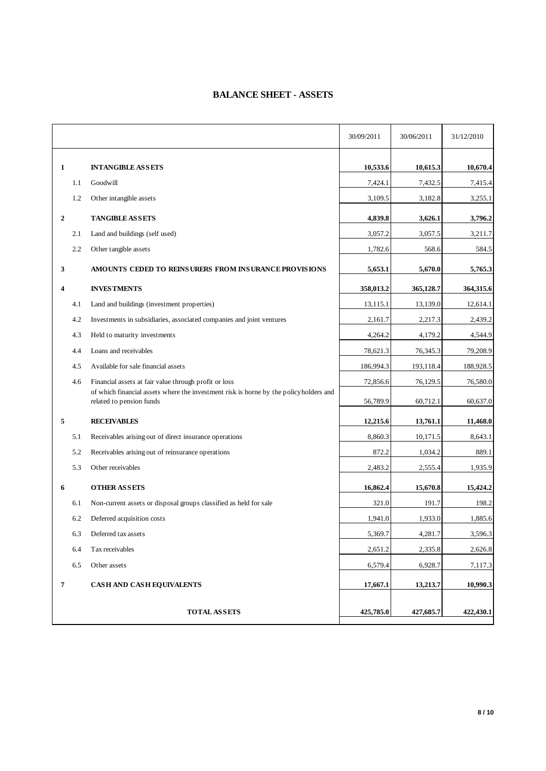### **BALANCE SHEET - ASSETS**

| 1<br>1.1<br>1.2<br>$\mathbf{2}$ | <b>INTANGIBLE ASSETS</b><br>Goodwill                                                                              | 10,533.6<br>7,424.1 | 10,615.3<br>7,432.5 | 10,670.4  |
|---------------------------------|-------------------------------------------------------------------------------------------------------------------|---------------------|---------------------|-----------|
|                                 |                                                                                                                   |                     |                     |           |
|                                 |                                                                                                                   |                     |                     | 7,415.4   |
|                                 | Other intangible assets                                                                                           | 3,109.5             | 3,182.8             | 3,255.1   |
|                                 | <b>TANGIBLE ASSETS</b>                                                                                            | 4,839.8             | 3,626.1             | 3,796.2   |
| 2.1                             | Land and buildings (self used)                                                                                    | 3,057.2             | 3,057.5             | 3,211.7   |
| 2.2                             | Other tangible assets                                                                                             | 1,782.6             | 568.6               | 584.5     |
| 3                               | AMOUNTS CEDED TO REINSURERS FROM INSURANCE PROVISIONS                                                             | 5,653.1             | 5,670.0             | 5,765.3   |
| 4                               | <b>INVESTMENTS</b>                                                                                                | 358,013.2           | 365,128.7           | 364,315.6 |
| 4.1                             | Land and buildings (investment properties)                                                                        | 13,115.1            | 13,139.0            | 12,614.1  |
| 4.2                             | Investments in subsidiaries, associated companies and joint ventures                                              | 2,161.7             | 2,217.3             | 2,439.2   |
| 4.3                             | Held to maturity investments                                                                                      | 4,264.2             | 4,179.2             | 4,544.9   |
| 4.4                             | Loans and receivables                                                                                             | 78,621.3            | 76,345.3            | 79,208.9  |
| 4.5                             | Available for sale financial assets                                                                               | 186,994.3           | 193,118.4           | 188,928.5 |
| 4.6                             | Financial assets at fair value through profit or loss                                                             | 72,856.6            | 76,129.5            | 76,580.0  |
|                                 | of which financial assets where the investment risk is borne by the policyholders and<br>related to pension funds | 56,789.9            | 60,712.1            | 60,637.0  |
| 5                               | <b>RECEIVABLES</b>                                                                                                | 12,215.6            | 13,761.1            | 11,468.0  |
| 5.1                             | Receivables arising out of direct insurance operations                                                            | 8,860.3             | 10,171.5            | 8,643.1   |
| 5.2                             | Receivables arising out of reinsurance operations                                                                 | 872.2               | 1,034.2             | 889.1     |
| 5.3                             | Other receivables                                                                                                 | 2,483.2             | 2,555.4             | 1,935.9   |
| 6                               | <b>OTHER ASSETS</b>                                                                                               | 16,862.4            | 15,670.8            | 15,424.2  |
| 6.1                             | Non-current assets or disposal groups classified as held for sale                                                 | 321.0               | 191.7               | 198.2     |
| 6.2                             | Deferred acquisition costs                                                                                        | 1,941.0             | 1,933.0             | 1,885.6   |
| 6.3                             | Deferred tax assets                                                                                               | 5,369.7             | 4,281.7             | 3,596.3   |
| 6.4                             | Tax receivables                                                                                                   | 2,651.2             | 2,335.8             | 2,626.8   |
| 6.5                             | Other assets                                                                                                      | 6,579.4             | 6,928.7             | 7,117.3   |
| $\overline{7}$                  | <b>CASH AND CASH EQUIVALENTS</b>                                                                                  | 17,667.1            | 13,213.7            | 10,990.3  |
|                                 | <b>TOTAL ASSETS</b>                                                                                               | 425,785.0           | 427,685.7           | 422,430.1 |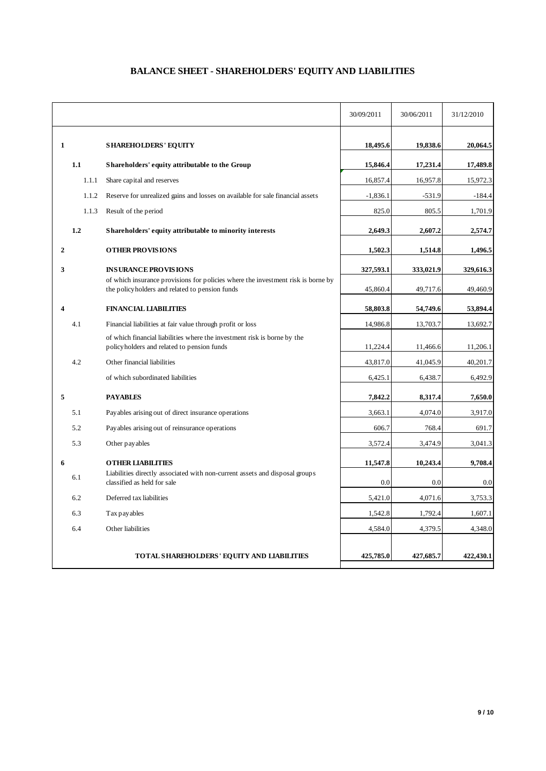## **BALANCE SHEET - SHAREHOLDERS' EQUITY AND LIABILITIES**

|   |       |                                                                                                                                    | 30/09/2011 | 30/06/2011 | 31/12/2010 |
|---|-------|------------------------------------------------------------------------------------------------------------------------------------|------------|------------|------------|
| 1 |       | <b>SHAREHOLDERS' EQUITY</b>                                                                                                        | 18,495.6   | 19,838.6   | 20,064.5   |
|   | 1.1   | Shareholders' equity attributable to the Group                                                                                     | 15,846.4   | 17,231.4   | 17,489.8   |
|   | 1.1.1 | Share capital and reserves                                                                                                         | 16,857.4   | 16,957.8   | 15,972.3   |
|   | 1.1.2 | Reserve for unrealized gains and losses on available for sale financial assets                                                     | $-1,836.1$ | $-531.9$   | $-184.4$   |
|   | 1.1.3 | Result of the period                                                                                                               | 825.0      | 805.5      | 1,701.9    |
|   | 1.2   | Shareholders' equity attributable to minority interests                                                                            | 2,649.3    | 2,607.2    | 2,574.7    |
| 2 |       | <b>OTHER PROVISIONS</b>                                                                                                            | 1,502.3    | 1,514.8    | 1,496.5    |
| 3 |       | <b>INSURANCE PROVISIONS</b>                                                                                                        | 327,593.1  | 333,021.9  | 329,616.3  |
|   |       | of which insurance provisions for policies where the investment risk is borne by<br>the policyholders and related to pension funds | 45,860.4   | 49,717.6   | 49,460.9   |
| 4 |       | <b>FINANCIAL LIABILITIES</b>                                                                                                       | 58,803.8   | 54,749.6   | 53,894.4   |
|   | 4.1   | Financial liabilities at fair value through profit or loss                                                                         | 14,986.8   | 13,703.7   | 13,692.7   |
|   |       | of which financial liabilities where the investment risk is borne by the<br>policyholders and related to pension funds             | 11,224.4   | 11,466.6   | 11,206.1   |
|   | 4.2   | Other financial liabilities                                                                                                        | 43,817.0   | 41,045.9   | 40,201.7   |
|   |       | of which subordinated liabilities                                                                                                  | 6,425.1    | 6,438.7    | 6,492.9    |
| 5 |       | <b>PAYABLES</b>                                                                                                                    | 7,842.2    | 8,317.4    | 7,650.0    |
|   | 5.1   | Payables arising out of direct insurance operations                                                                                | 3,663.1    | 4,074.0    | 3,917.0    |
|   | 5.2   | Payables arising out of reinsurance operations                                                                                     | 606.7      | 768.4      | 691.7      |
|   | 5.3   | Other pay ables                                                                                                                    | 3,572.4    | 3,474.9    | 3,041.3    |
| 6 |       | <b>OTHER LIABILITIES</b>                                                                                                           | 11,547.8   | 10,243.4   | 9,708.4    |
|   | 6.1   | Liabilities directly associated with non-current assets and disposal groups<br>classified as held for sale                         | 0.0        | 0.0        | 0.0        |
|   | 6.2   | Deferred tax liabilities                                                                                                           | 5,421.0    | 4,071.6    | 3,753.3    |
|   | 6.3   | Tax pay ables                                                                                                                      | 1,542.8    | 1,792.4    | 1,607.1    |
|   | 6.4   | Other liabilities                                                                                                                  | 4,584.0    | 4,379.5    | 4,348.0    |
|   |       | TOTAL SHAREHOLDERS' EQUITY AND LIABILITIES                                                                                         | 425,785.0  | 427,685.7  | 422,430.1  |
|   |       |                                                                                                                                    |            |            |            |
|   |       |                                                                                                                                    |            |            | 9/10       |